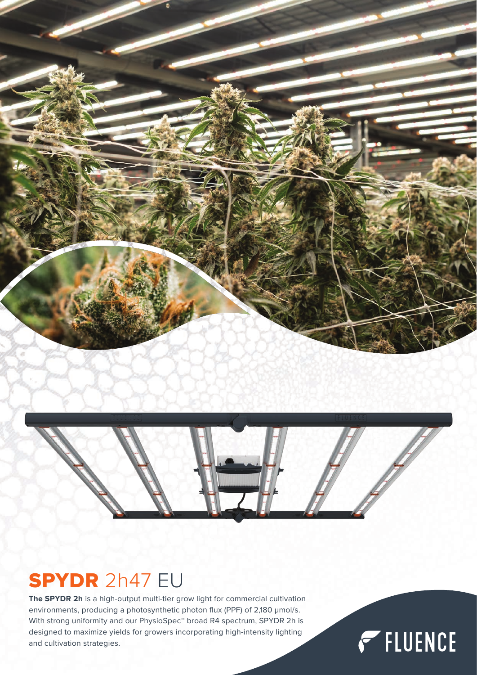



## SPYDR 2h47 EU

**The SPYDR 2h** is a high-output multi-tier grow light for commercial cultivation environments, producing a photosynthetic photon flux (PPF) of 2,180 μmol/s. With strong uniformity and our PhysioSpec™ broad R4 spectrum, SPYDR 2h is designed to maximize yields for growers incorporating high-intensity lighting and cultivation strategies.